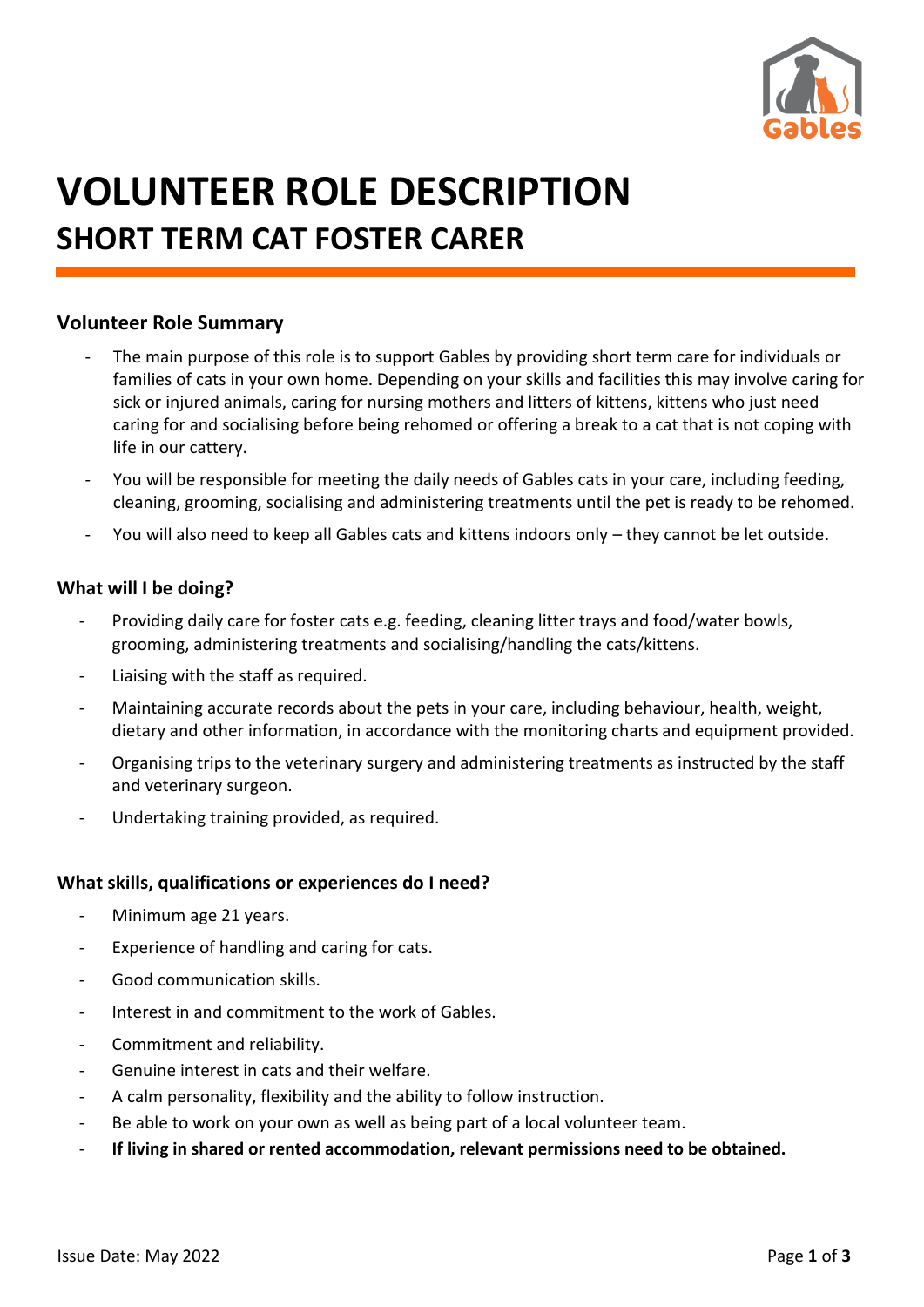

# **VOLUNTEER ROLE DESCRIPTION SHORT TERM CAT FOSTER CARER**

# **Volunteer Role Summary**

- The main purpose of this role is to support Gables by providing short term care for individuals or families of cats in your own home. Depending on your skills and facilities this may involve caring for sick or injured animals, caring for nursing mothers and litters of kittens, kittens who just need caring for and socialising before being rehomed or offering a break to a cat that is not coping with life in our cattery.
- You will be responsible for meeting the daily needs of Gables cats in your care, including feeding, cleaning, grooming, socialising and administering treatments until the pet is ready to be rehomed.
- You will also need to keep all Gables cats and kittens indoors only they cannot be let outside.

#### **What will I be doing?**

- Providing daily care for foster cats e.g. feeding, cleaning litter trays and food/water bowls, grooming, administering treatments and socialising/handling the cats/kittens.
- Liaising with the staff as required.
- Maintaining accurate records about the pets in your care, including behaviour, health, weight, dietary and other information, in accordance with the monitoring charts and equipment provided.
- Organising trips to the veterinary surgery and administering treatments as instructed by the staff and veterinary surgeon.
- Undertaking training provided, as required.

#### **What skills, qualifications or experiences do I need?**

- Minimum age 21 years.
- Experience of handling and caring for cats.
- Good communication skills.
- Interest in and commitment to the work of Gables.
- Commitment and reliability.
- Genuine interest in cats and their welfare.
- A calm personality, flexibility and the ability to follow instruction.
- Be able to work on your own as well as being part of a local volunteer team.
- **If living in shared or rented accommodation, relevant permissions need to be obtained.**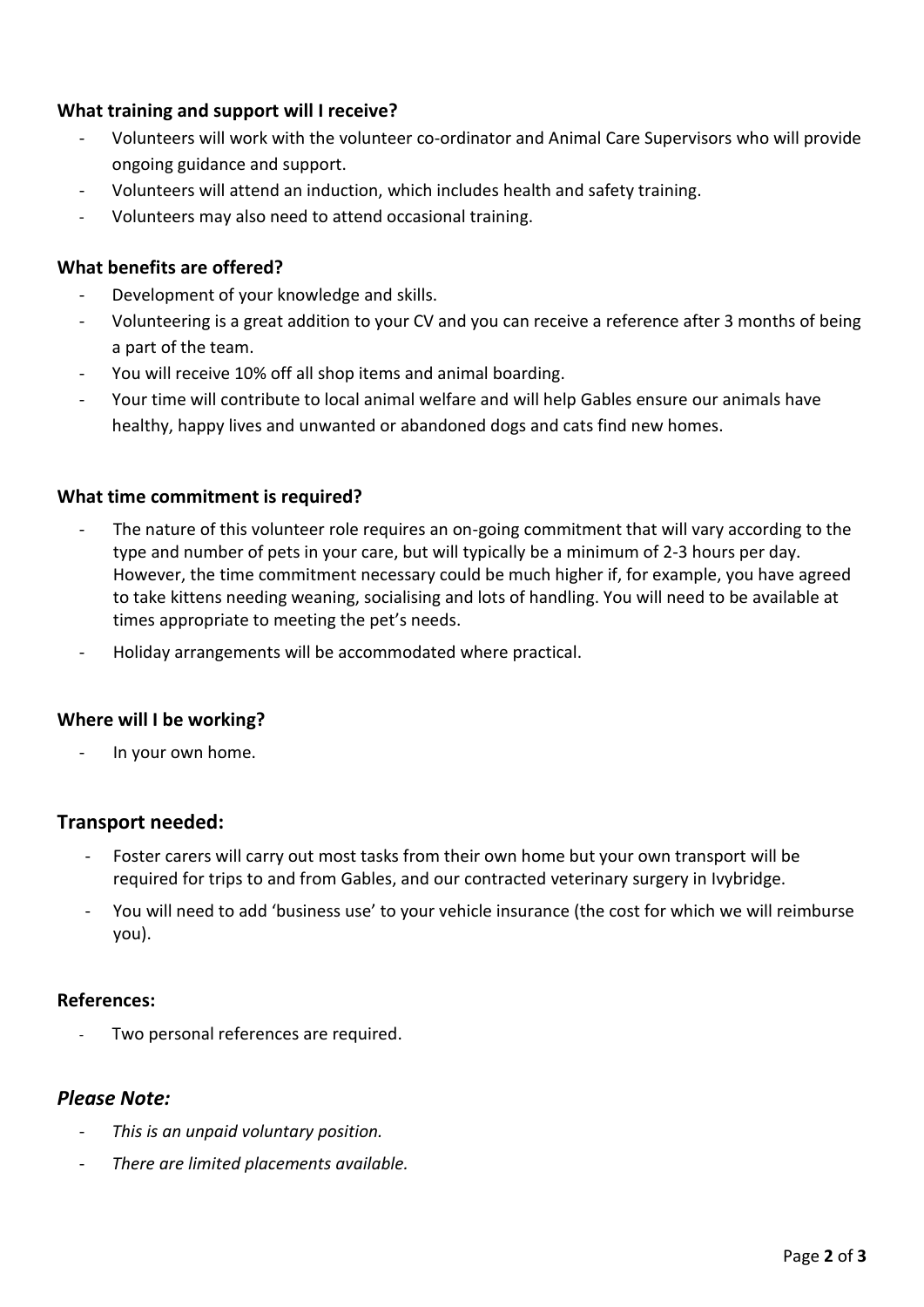### **What training and support will I receive?**

- Volunteers will work with the volunteer co-ordinator and Animal Care Supervisors who will provide ongoing guidance and support.
- Volunteers will attend an induction, which includes health and safety training.
- Volunteers may also need to attend occasional training.

# **What benefits are offered?**

- Development of your knowledge and skills.
- Volunteering is a great addition to your CV and you can receive a reference after 3 months of being a part of the team.
- You will receive 10% off all shop items and animal boarding.
- Your time will contribute to local animal welfare and will help Gables ensure our animals have healthy, happy lives and unwanted or abandoned dogs and cats find new homes.

#### **What time commitment is required?**

- The nature of this volunteer role requires an on-going commitment that will vary according to the type and number of pets in your care, but will typically be a minimum of 2-3 hours per day. However, the time commitment necessary could be much higher if, for example, you have agreed to take kittens needing weaning, socialising and lots of handling. You will need to be available at times appropriate to meeting the pet's needs.
- Holiday arrangements will be accommodated where practical.

#### **Where will I be working?**

- In your own home.

# **Transport needed:**

- Foster carers will carry out most tasks from their own home but your own transport will be required for trips to and from Gables, and our contracted veterinary surgery in Ivybridge.
- You will need to add 'business use' to your vehicle insurance (the cost for which we will reimburse you).

#### **References:**

Two personal references are required.

#### *Please Note:*

- *This is an unpaid voluntary position.*
- *There are limited placements available.*